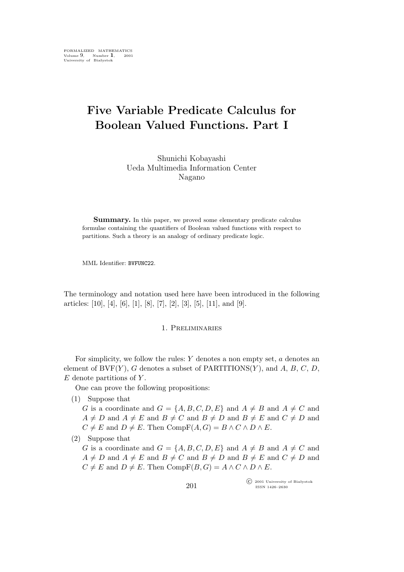# **Five Variable Predicate Calculus for Boolean Valued Functions. Part I**

Shunichi Kobayashi Ueda Multimedia Information Center Nagano

Summary. In this paper, we proved some elementary predicate calculus formulae containing the quantifiers of Boolean valued functions with respect to partitions. Such a theory is an analogy of ordinary predicate logic.

MML Identifier: BVFUNC22.

The terminology and notation used here have been introduced in the following articles: [10], [4], [6], [1], [8], [7], [2], [3], [5], [11], and [9].

### 1. Preliminaries

For simplicity, we follow the rules:  $Y$  denotes a non empty set,  $a$  denotes an element of  $BVF(Y)$ , G denotes a subset of PARTITIONS $(Y)$ , and A, B, C, D,  $E$  denote partitions of  $Y$ .

One can prove the following propositions:

(1) Suppose that

G is a coordinate and  $G = \{A, B, C, D, E\}$  and  $A \neq B$  and  $A \neq C$  and  $A \neq D$  and  $A \neq E$  and  $B \neq C$  and  $B \neq D$  and  $B \neq E$  and  $C \neq D$  and  $C \neq E$  and  $D \neq E$ . Then  $CompF(A, G) = B \wedge C \wedge D \wedge E$ .

(2) Suppose that

G is a coordinate and  $G = \{A, B, C, D, E\}$  and  $A \neq B$  and  $A \neq C$  and  $A \neq D$  and  $A \neq E$  and  $B \neq C$  and  $B \neq D$  and  $B \neq E$  and  $C \neq D$  and  $C \neq E$  and  $D \neq E$ . Then  $CompF(B, G) = A \wedge C \wedge D \wedge E$ .

> °c 2001 University of Białystok ISSN 1426–2630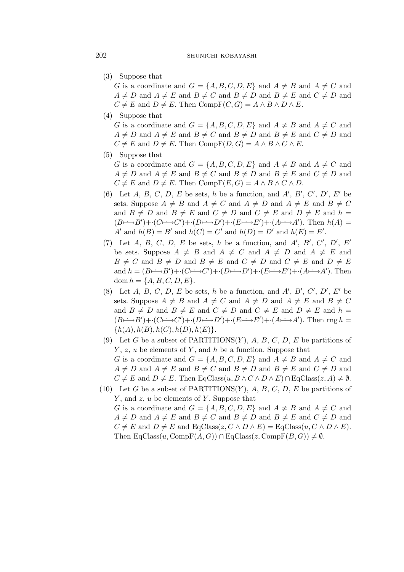(3) Suppose that

G is a coordinate and  $G = \{A, B, C, D, E\}$  and  $A \neq B$  and  $A \neq C$  and  $A \neq D$  and  $A \neq E$  and  $B \neq C$  and  $B \neq D$  and  $B \neq E$  and  $C \neq D$  and  $C \neq E$  and  $D \neq E$ . Then  $CompF(C, G) = A \wedge B \wedge D \wedge E$ .

(4) Suppose that

G is a coordinate and  $G = \{A, B, C, D, E\}$  and  $A \neq B$  and  $A \neq C$  and  $A \neq D$  and  $A \neq E$  and  $B \neq C$  and  $B \neq D$  and  $B \neq E$  and  $C \neq D$  and  $C \neq E$  and  $D \neq E$ . Then  $CompF(D, G) = A \wedge B \wedge C \wedge E$ .

(5) Suppose that

G is a coordinate and  $G = \{A, B, C, D, E\}$  and  $A \neq B$  and  $A \neq C$  and  $A \neq D$  and  $A \neq E$  and  $B \neq C$  and  $B \neq D$  and  $B \neq E$  and  $C \neq D$  and  $C \neq E$  and  $D \neq E$ . Then  $CompF(E, G) = A \wedge B \wedge C \wedge D$ .

- (6) Let  $A, B, C, D, E$  be sets, h be a function, and  $A', B', C', D', E'$  be sets. Suppose  $A \neq B$  and  $A \neq C$  and  $A \neq D$  and  $A \neq E$  and  $B \neq C$ and  $B \neq D$  and  $B \neq E$  and  $C \neq D$  and  $C \neq E$  and  $D \neq E$  and  $h =$  $(B \rightarrow B') + (C \rightarrow C') + (D \rightarrow D') + (E \rightarrow E') + (A \rightarrow A')$ . Then  $h(A) =$ A<sup>*'*</sup> and  $h(B) = B'$  and  $h(C) = C'$  and  $h(D) = D'$  and  $h(E) = E'$ .
- (7) Let A, B, C, D, E be sets, h be a function, and A', B', C', D', E' be sets. Suppose  $A \neq B$  and  $A \neq C$  and  $A \neq D$  and  $A \neq E$  and  $B \neq C$  and  $B \neq D$  and  $B \neq E$  and  $C \neq D$  and  $C \neq E$  and  $D \neq E$ and  $h = (B \rightarrow B') + (C \rightarrow C') + (D \rightarrow D') + (E \rightarrow E') + (A \rightarrow A')$ . Then dom  $h = \{A, B, C, D, E\}.$
- (8) Let  $A, B, C, D, E$  be sets, h be a function, and  $A', B', C', D', E'$  be sets. Suppose  $A \neq B$  and  $A \neq C$  and  $A \neq D$  and  $A \neq E$  and  $B \neq C$ and  $B \neq D$  and  $B \neq E$  and  $C \neq D$  and  $C \neq E$  and  $D \neq E$  and  $h =$  $(B \rightarrow B') + (C \rightarrow C') + (D \rightarrow D') + (E \rightarrow E') + (A \rightarrow A')$ . Then rng h =  ${h(A), h(B), h(C), h(D), h(E)}.$
- (9) Let G be a subset of PARTITIONS $(Y)$ , A, B, C, D, E be partitions of  $Y, z, u$  be elements of Y, and h be a function. Suppose that G is a coordinate and  $G = \{A, B, C, D, E\}$  and  $A \neq B$  and  $A \neq C$  and  $A \neq D$  and  $A \neq E$  and  $B \neq C$  and  $B \neq D$  and  $B \neq E$  and  $C \neq D$  and  $C \neq E$  and  $D \neq E$ . Then EqClass $(u, B \wedge C \wedge D \wedge E) \cap EqClass(z, A) \neq \emptyset$ .
- (10) Let G be a subset of PARTITIONS $(Y)$ , A, B, C, D, E be partitions of  $Y$ , and  $z$ ,  $u$  be elements of  $Y$ . Suppose that G is a coordinate and  $G = \{A, B, C, D, E\}$  and  $A \neq B$  and  $A \neq C$  and  $A \neq D$  and  $A \neq E$  and  $B \neq C$  and  $B \neq D$  and  $B \neq E$  and  $C \neq D$  and  $C \neq E$  and  $D \neq E$  and  $EqClass(z, C \wedge D \wedge E) = EqClass(u, C \wedge D \wedge E)$ . Then  $\text{EqClass}(u, \text{CompF}(A, G)) \cap \text{EqClass}(z, \text{CompF}(B, G)) \neq \emptyset$ .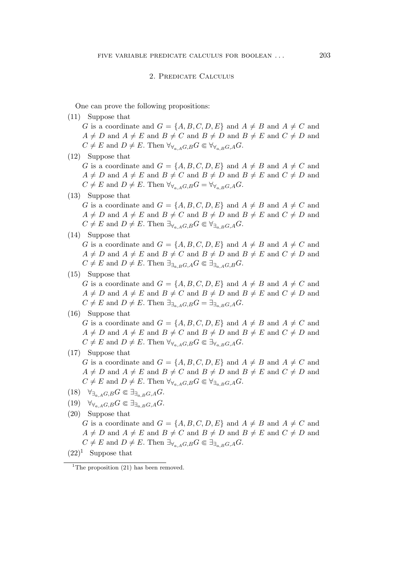#### 2. Predicate Calculus

One can prove the following propositions:

- (11) Suppose that G is a coordinate and  $G = \{A, B, C, D, E\}$  and  $A \neq B$  and  $A \neq C$  and  $A \neq D$  and  $A \neq E$  and  $B \neq C$  and  $B \neq D$  and  $B \neq E$  and  $C \neq D$  and  $C \neq E$  and  $D \neq E$ . Then  $\forall \forall_{A \in A} G, B \in \forall \forall_{A \in B} G, A \subseteq E$ .
- (12) Suppose that

G is a coordinate and  $G = \{A, B, C, D, E\}$  and  $A \neq B$  and  $A \neq C$  and  $A \neq D$  and  $A \neq E$  and  $B \neq C$  and  $B \neq D$  and  $B \neq E$  and  $C \neq D$  and  $C \neq E$  and  $D \neq E$ . Then  $\forall \forall a, a \in G, B$   $\forall G \in \forall \forall a, B \in G, A$ .

(13) Suppose that

G is a coordinate and  $G = \{A, B, C, D, E\}$  and  $A \neq B$  and  $A \neq C$  and  $A \neq D$  and  $A \neq E$  and  $B \neq C$  and  $B \neq D$  and  $B \neq E$  and  $C \neq D$  and  $C \neq E$  and  $D \neq E$ . Then  $\exists_{\forall_{a,A}G,B} G \in \forall_{\exists_{a,B}G,A} G$ .

(14) Suppose that

G is a coordinate and  $G = \{A, B, C, D, E\}$  and  $A \neq B$  and  $A \neq C$  and  $A \neq D$  and  $A \neq E$  and  $B \neq C$  and  $B \neq D$  and  $B \neq E$  and  $C \neq D$  and  $C \neq E$  and  $D \neq E$ . Then  $\exists_{\exists_{a,B}G,A}G \in \exists_{\exists_{a,A}G,B}G$ .

# (15) Suppose that

G is a coordinate and  $G = \{A, B, C, D, E\}$  and  $A \neq B$  and  $A \neq C$  and  $A \neq D$  and  $A \neq E$  and  $B \neq C$  and  $B \neq D$  and  $B \neq E$  and  $C \neq D$  and  $C \neq E$  and  $D \neq E$ . Then  $\exists_{\exists_{a,A}G,B}G = \exists_{\exists_{a,B}G,A}G$ .

# (16) Suppose that

G is a coordinate and  $G = \{A, B, C, D, E\}$  and  $A \neq B$  and  $A \neq C$  and  $A \neq D$  and  $A \neq E$  and  $B \neq C$  and  $B \neq D$  and  $B \neq E$  and  $C \neq D$  and  $C \neq E$  and  $D \neq E$ . Then  $\forall \forall a \in A, B \in \exists \forall a \in B, A \in G$ .

(17) Suppose that

G is a coordinate and  $G = \{A, B, C, D, E\}$  and  $A \neq B$  and  $A \neq C$  and  $A \neq D$  and  $A \neq E$  and  $B \neq C$  and  $B \neq D$  and  $B \neq E$  and  $C \neq D$  and  $C \neq E$  and  $D \neq E$ . Then  $\forall \forall a, A, G, B$   $\in \forall \exists a, B, G, A$ .

- $(18)$   $\forall_{\exists_{a,A}G,B} G \in \exists_{\exists_{a,B}G,A} G.$
- $(19)$   $\forall \forall_{a,A} G, B} G \in \exists_{\exists_{a,B} G, A} G.$

 $(22)^1$  Suppose that

<sup>(20)</sup> Suppose that G is a coordinate and  $G = \{A, B, C, D, E\}$  and  $A \neq B$  and  $A \neq C$  and  $A \neq D$  and  $A \neq E$  and  $B \neq C$  and  $B \neq D$  and  $B \neq E$  and  $C \neq D$  and  $C \neq E$  and  $D \neq E$ . Then  $\exists_{\forall_{a} A} G, B G \in \exists_{\exists_{a} B} G, A G$ .

<sup>&</sup>lt;sup>1</sup>The proposition  $(21)$  has been removed.